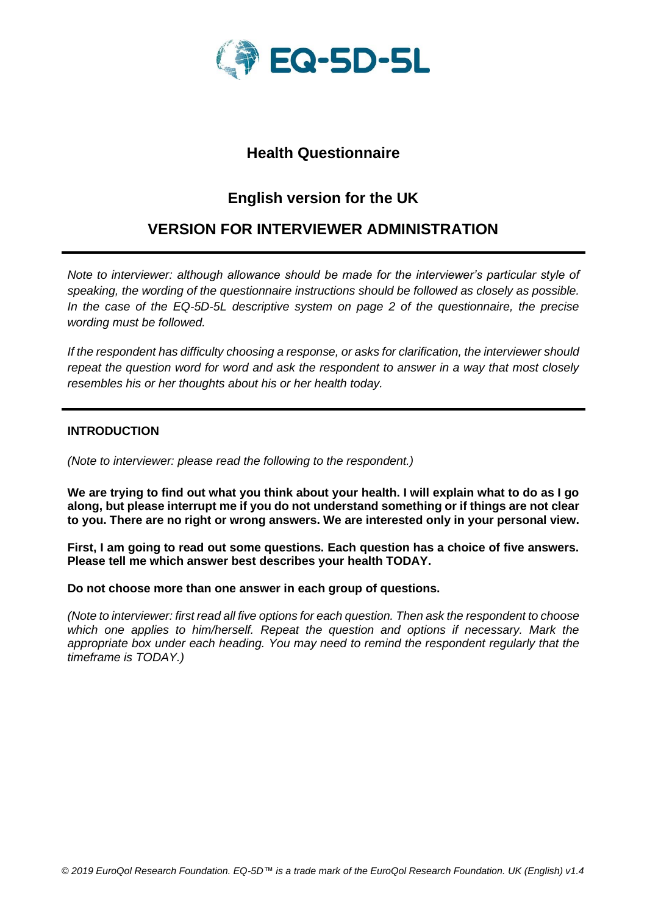

## **Health Questionnaire**

# **English version for the UK**

## **VERSION FOR INTERVIEWER ADMINISTRATION**

*Note to interviewer: although allowance should be made for the interviewer's particular style of speaking, the wording of the questionnaire instructions should be followed as closely as possible. In the case of the EQ-5D-5L descriptive system on page 2 of the questionnaire, the precise wording must be followed.*

*If the respondent has difficulty choosing a response, or asks for clarification, the interviewer should repeat the question word for word and ask the respondent to answer in a way that most closely resembles his or her thoughts about his or her health today.*

#### **INTRODUCTION**

*(Note to interviewer: please read the following to the respondent.)*

**We are trying to find out what you think about your health. I will explain what to do as I go along, but please interrupt me if you do not understand something or if things are not clear to you. There are no right or wrong answers. We are interested only in your personal view.**

**First, I am going to read out some questions. Each question has a choice of five answers. Please tell me which answer best describes your health TODAY.**

**Do not choose more than one answer in each group of questions.**

*(Note to interviewer: first read all five options for each question. Then ask the respondent to choose which one applies to him/herself. Repeat the question and options if necessary. Mark the appropriate box under each heading. You may need to remind the respondent regularly that the timeframe is TODAY.)*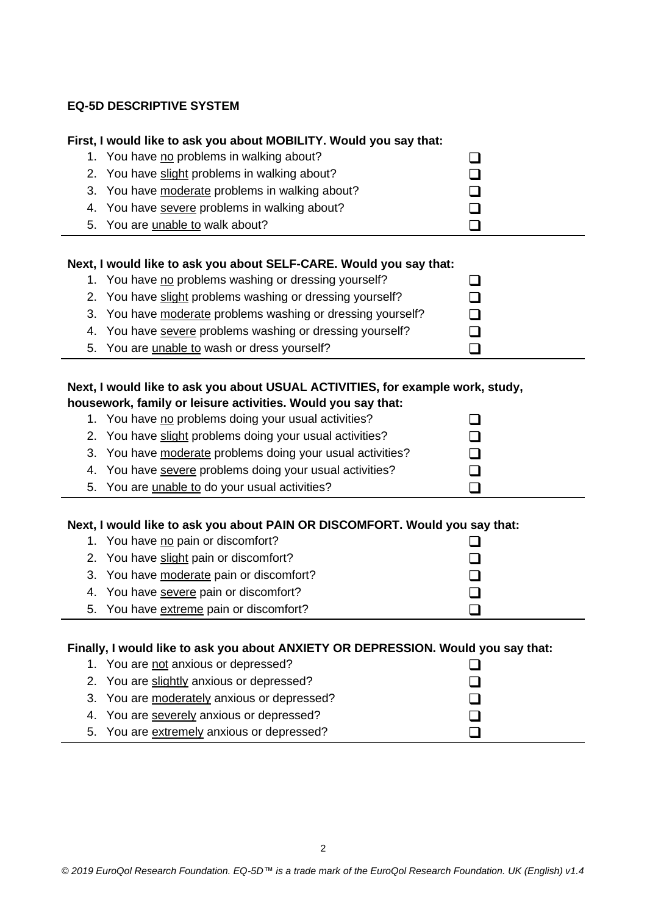### **EQ-5D DESCRIPTIVE SYSTEM**

| First, I would like to ask you about MOBILITY. Would you say that:             |  |  |  |
|--------------------------------------------------------------------------------|--|--|--|
| 1. You have no problems in walking about?                                      |  |  |  |
| 2. You have slight problems in walking about?                                  |  |  |  |
| 3. You have moderate problems in walking about?                                |  |  |  |
| 4. You have severe problems in walking about?                                  |  |  |  |
| 5. You are unable to walk about?                                               |  |  |  |
|                                                                                |  |  |  |
| Next, I would like to ask you about SELF-CARE. Would you say that:             |  |  |  |
| 1. You have no problems washing or dressing yourself?                          |  |  |  |
| 2. You have slight problems washing or dressing yourself?                      |  |  |  |
| 3. You have moderate problems washing or dressing yourself?                    |  |  |  |
| 4. You have severe problems washing or dressing yourself?                      |  |  |  |
| 5. You are unable to wash or dress yourself?                                   |  |  |  |
|                                                                                |  |  |  |
| Next, I would like to ask you about USUAL ACTIVITIES, for example work, study, |  |  |  |
| housework, family or leisure activities. Would you say that:                   |  |  |  |

| 1. You have no problems doing your usual activities?       |              |
|------------------------------------------------------------|--------------|
| 2. You have slight problems doing your usual activities?   | $\mathbf{I}$ |
| 3. You have moderate problems doing your usual activities? |              |
| 4. You have severe problems doing your usual activities?   | $\mathbf{I}$ |
| 5. You are <i>unable to do your usual activities?</i>      |              |

### **Next, I would like to ask you about PAIN OR DISCOMFORT. Would you say that:**

| 1. You have no pain or discomfort?       |  |
|------------------------------------------|--|
| 2. You have slight pain or discomfort?   |  |
| 3. You have moderate pain or discomfort? |  |
| 4. You have severe pain or discomfort?   |  |
| 5. You have extreme pain or discomfort?  |  |

### **Finally, I would like to ask you about ANXIETY OR DEPRESSION. Would you say that:**

| 1. You are not anxious or depressed?        |  |
|---------------------------------------------|--|
| 2. You are slightly anxious or depressed?   |  |
| 3. You are moderately anxious or depressed? |  |
| 4. You are severely anxious or depressed?   |  |
| 5. You are extremely anxious or depressed?  |  |